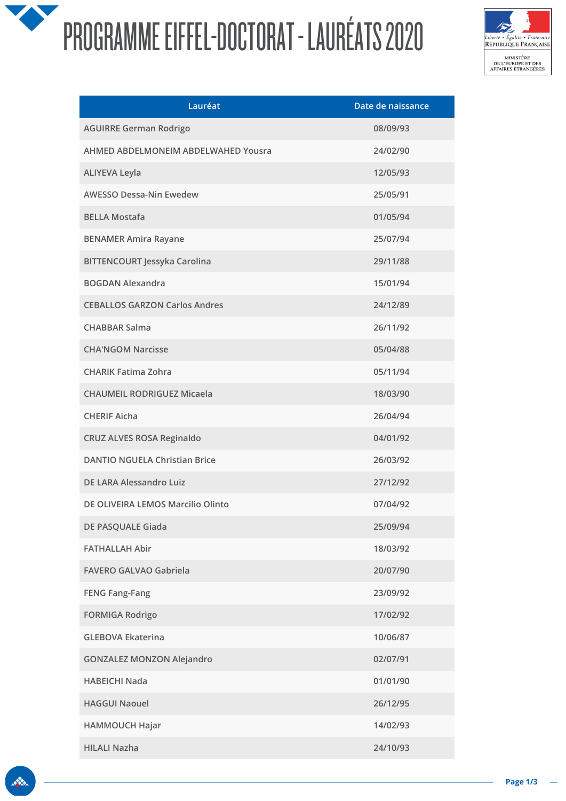## PROGRAMME EIFFEL-DOCTORAT - LAURÉATS 2020



| Lauréat                              | Date de naissance |
|--------------------------------------|-------------------|
| <b>AGUIRRE German Rodrigo</b>        | 08/09/93          |
| AHMED ABDELMONEIM ABDELWAHED Yousra  | 24/02/90          |
| <b>ALIYEVA Leyla</b>                 | 12/05/93          |
| <b>AWESSO Dessa-Nin Ewedew</b>       | 25/05/91          |
| <b>BELLA Mostafa</b>                 | 01/05/94          |
| <b>BENAMER Amira Rayane</b>          | 25/07/94          |
| <b>BITTENCOURT Jessyka Carolina</b>  | 29/11/88          |
| <b>BOGDAN Alexandra</b>              | 15/01/94          |
| <b>CEBALLOS GARZON Carlos Andres</b> | 24/12/89          |
| <b>CHABBAR Salma</b>                 | 26/11/92          |
| <b>CHA'NGOM Narcisse</b>             | 05/04/88          |
| <b>CHARIK Fatima Zohra</b>           | 05/11/94          |
| <b>CHAUMEIL RODRIGUEZ Micaela</b>    | 18/03/90          |
| <b>CHERIF Aicha</b>                  | 26/04/94          |
| CRUZ ALVES ROSA Reginaldo            | 04/01/92          |
| <b>DANTIO NGUELA Christian Brice</b> | 26/03/92          |
| <b>DE LARA Alessandro Luiz</b>       | 27/12/92          |
| DE OLIVEIRA LEMOS Marcilio Olinto    | 07/04/92          |
| DE PASQUALE Giada                    | 25/09/94          |
| <b>FATHALLAH Abir</b>                | 18/03/92          |
| <b>FAVERO GALVAO Gabriela</b>        | 20/07/90          |
| <b>FENG Fang-Fang</b>                | 23/09/92          |
| <b>FORMIGA Rodrigo</b>               | 17/02/92          |
| <b>GLEBOVA Ekaterina</b>             | 10/06/87          |
| <b>GONZALEZ MONZON Alejandro</b>     | 02/07/91          |
| <b>HABEICHI Nada</b>                 | 01/01/90          |
| <b>HAGGUI Naouel</b>                 | 26/12/95          |
| HAMMOUCH Hajar                       | 14/02/93          |
| <b>HILALI Nazha</b>                  | 24/10/93          |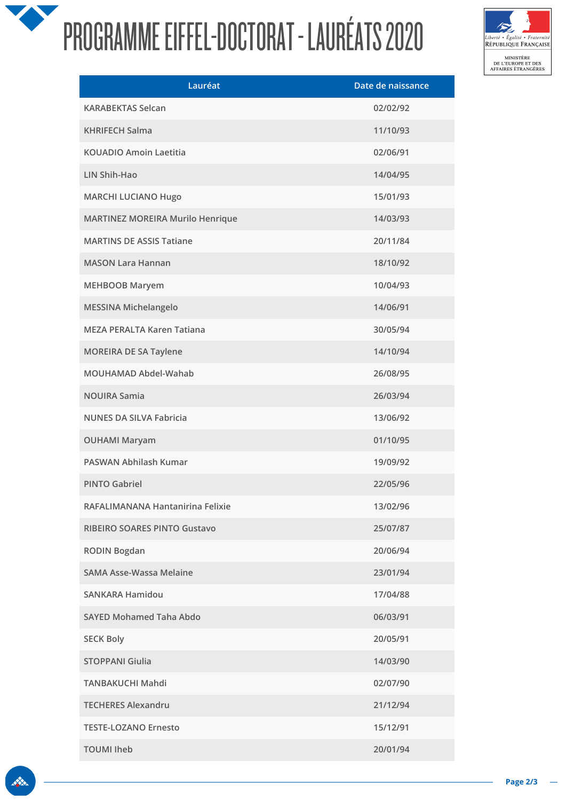## PROGRAMME EIFFEL-DOCTORAT - LAURÉATS 2020



| Lauréat                                 | Date de naissance |
|-----------------------------------------|-------------------|
| <b>KARABEKTAS Selcan</b>                | 02/02/92          |
| <b>KHRIFECH Salma</b>                   | 11/10/93          |
| <b>KOUADIO Amoin Laetitia</b>           | 02/06/91          |
| LIN Shih-Hao                            | 14/04/95          |
| <b>MARCHI LUCIANO Hugo</b>              | 15/01/93          |
| <b>MARTINEZ MOREIRA Murilo Henrique</b> | 14/03/93          |
| <b>MARTINS DE ASSIS Tatiane</b>         | 20/11/84          |
| <b>MASON Lara Hannan</b>                | 18/10/92          |
| <b>MEHBOOB Maryem</b>                   | 10/04/93          |
| MESSINA Michelangelo                    | 14/06/91          |
| <b>MEZA PERALTA Karen Tatiana</b>       | 30/05/94          |
| <b>MOREIRA DE SA Taylene</b>            | 14/10/94          |
| MOUHAMAD Abdel-Wahab                    | 26/08/95          |
| <b>NOUIRA Samia</b>                     | 26/03/94          |
| <b>NUNES DA SILVA Fabricia</b>          | 13/06/92          |
| <b>OUHAMI Maryam</b>                    | 01/10/95          |
| PASWAN Abhilash Kumar                   | 19/09/92          |
| <b>PINTO Gabriel</b>                    | 22/05/96          |
| RAFALIMANANA Hantanirina Felixie        | 13/02/96          |
| <b>RIBEIRO SOARES PINTO Gustavo</b>     | 25/07/87          |
| <b>RODIN Bogdan</b>                     | 20/06/94          |
| <b>SAMA Asse-Wassa Melaine</b>          | 23/01/94          |
| <b>SANKARA Hamidou</b>                  | 17/04/88          |
| SAYED Mohamed Taha Abdo                 | 06/03/91          |
| <b>SECK Boly</b>                        | 20/05/91          |
| <b>STOPPANI Giulia</b>                  | 14/03/90          |
| <b>TANBAKUCHI Mahdi</b>                 | 02/07/90          |
| <b>TECHERES Alexandru</b>               | 21/12/94          |
| <b>TESTE-LOZANO Ernesto</b>             | 15/12/91          |
| <b>TOUMI Iheb</b>                       | 20/01/94          |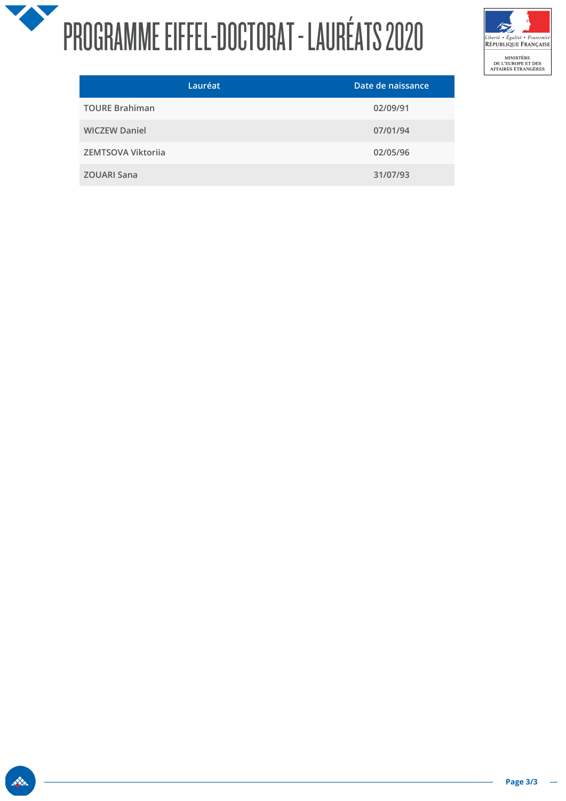## X PROGRAMME EIFFEL-DOCTORAT - LAURÉATS 2020



| Lauréat               | Date de naissance |
|-----------------------|-------------------|
| <b>TOURE Brahiman</b> | 02/09/91          |
| <b>WICZEW Daniel</b>  | 07/01/94          |
| ZEMTSOVA Viktorija    | 02/05/96          |
| <b>ZOUARI Sana</b>    | 31/07/93          |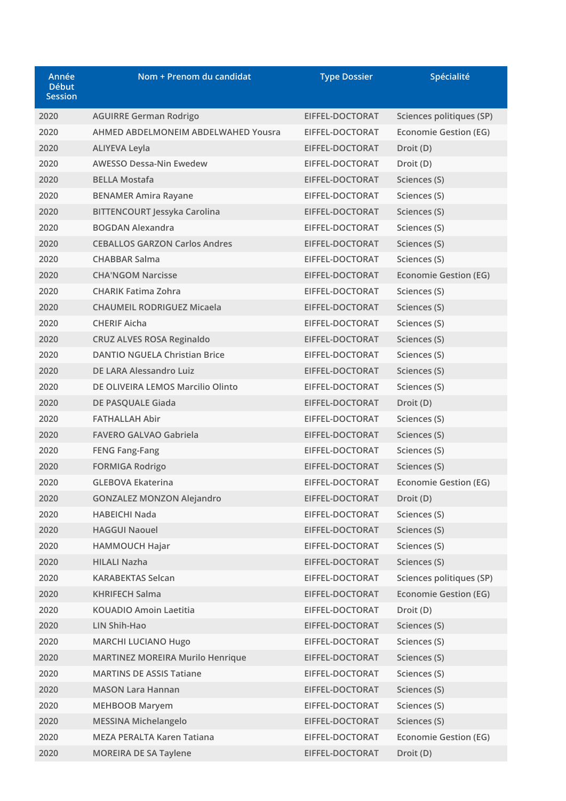| Année<br><b>Début</b><br><b>Session</b> | Nom + Prenom du candidat                   | <b>Type Dossier</b> | Spécialité                   |
|-----------------------------------------|--------------------------------------------|---------------------|------------------------------|
| 2020                                    | <b>AGUIRRE German Rodrigo</b>              | EIFFEL-DOCTORAT     | Sciences politiques (SP)     |
| 2020                                    | <b>AHMED ABDELMONEIM ABDELWAHED Yousra</b> | EIFFEL-DOCTORAT     | <b>Economie Gestion (EG)</b> |
| 2020                                    | <b>ALIYEVA Leyla</b>                       | EIFFEL-DOCTORAT     | Droit (D)                    |
| 2020                                    | <b>AWESSO Dessa-Nin Ewedew</b>             | EIFFEL-DOCTORAT     | Droit (D)                    |
| 2020                                    | <b>BELLA Mostafa</b>                       | EIFFEL-DOCTORAT     | Sciences (S)                 |
| 2020                                    | <b>BENAMER Amira Rayane</b>                | EIFFEL-DOCTORAT     | Sciences (S)                 |
| 2020                                    | <b>BITTENCOURT Jessyka Carolina</b>        | EIFFEL-DOCTORAT     | Sciences (S)                 |
| 2020                                    | <b>BOGDAN Alexandra</b>                    | EIFFEL-DOCTORAT     | Sciences (S)                 |
| 2020                                    | <b>CEBALLOS GARZON Carlos Andres</b>       | EIFFEL-DOCTORAT     | Sciences (S)                 |
| 2020                                    | <b>CHABBAR Salma</b>                       | EIFFEL-DOCTORAT     | Sciences (S)                 |
| 2020                                    | <b>CHA'NGOM Narcisse</b>                   | EIFFEL-DOCTORAT     | <b>Economie Gestion (EG)</b> |
| 2020                                    | <b>CHARIK Fatima Zohra</b>                 | EIFFEL-DOCTORAT     | Sciences (S)                 |
| 2020                                    | <b>CHAUMEIL RODRIGUEZ Micaela</b>          | EIFFEL-DOCTORAT     | Sciences (S)                 |
| 2020                                    | <b>CHERIF Aicha</b>                        | EIFFEL-DOCTORAT     | Sciences (S)                 |
| 2020                                    | <b>CRUZ ALVES ROSA Reginaldo</b>           | EIFFEL-DOCTORAT     | Sciences (S)                 |
| 2020                                    | <b>DANTIO NGUELA Christian Brice</b>       | EIFFEL-DOCTORAT     | Sciences (S)                 |
| 2020                                    | DE LARA Alessandro Luiz                    | EIFFEL-DOCTORAT     | Sciences (S)                 |
| 2020                                    | DE OLIVEIRA LEMOS Marcilio Olinto          | EIFFEL-DOCTORAT     | Sciences (S)                 |
| 2020                                    | DE PASQUALE Giada                          | EIFFEL-DOCTORAT     | Droit (D)                    |
| 2020                                    | <b>FATHALLAH Abir</b>                      | EIFFEL-DOCTORAT     | Sciences (S)                 |
| 2020                                    | <b>FAVERO GALVAO Gabriela</b>              | EIFFEL-DOCTORAT     | Sciences (S)                 |
| 2020                                    | <b>FENG Fang-Fang</b>                      | EIFFEL-DOCTORAT     | Sciences (S)                 |
| 2020                                    | <b>FORMIGA Rodrigo</b>                     | EIFFEL-DOCTORAT     | Sciences (S)                 |
| 2020                                    | <b>GLEBOVA Ekaterina</b>                   | EIFFEL-DOCTORAT     | Economie Gestion (EG)        |
| 2020                                    | <b>GONZALEZ MONZON Alejandro</b>           | EIFFEL-DOCTORAT     | Droit (D)                    |
| 2020                                    | <b>HABEICHI Nada</b>                       | EIFFEL-DOCTORAT     | Sciences (S)                 |
| 2020                                    | <b>HAGGUI Naouel</b>                       | EIFFEL-DOCTORAT     | Sciences (S)                 |
| 2020                                    | <b>HAMMOUCH Hajar</b>                      | EIFFEL-DOCTORAT     | Sciences (S)                 |
| 2020                                    | <b>HILALI Nazha</b>                        | EIFFEL-DOCTORAT     | Sciences (S)                 |
| 2020                                    | <b>KARABEKTAS Selcan</b>                   | EIFFEL-DOCTORAT     | Sciences politiques (SP)     |
| 2020                                    | <b>KHRIFECH Salma</b>                      | EIFFEL-DOCTORAT     | <b>Economie Gestion (EG)</b> |
| 2020                                    | <b>KOUADIO Amoin Laetitia</b>              | EIFFEL-DOCTORAT     | Droit (D)                    |
| 2020                                    | LIN Shih-Hao                               | EIFFEL-DOCTORAT     | Sciences (S)                 |
| 2020                                    | <b>MARCHI LUCIANO Hugo</b>                 | EIFFEL-DOCTORAT     | Sciences (S)                 |
| 2020                                    | <b>MARTINEZ MOREIRA Murilo Henrique</b>    | EIFFEL-DOCTORAT     | Sciences (S)                 |
| 2020                                    | <b>MARTINS DE ASSIS Tatiane</b>            | EIFFEL-DOCTORAT     | Sciences (S)                 |
| 2020                                    | <b>MASON Lara Hannan</b>                   | EIFFEL-DOCTORAT     | Sciences (S)                 |
| 2020                                    | <b>MEHBOOB Maryem</b>                      | EIFFEL-DOCTORAT     | Sciences (S)                 |
| 2020                                    | <b>MESSINA Michelangelo</b>                | EIFFEL-DOCTORAT     | Sciences (S)                 |
| 2020                                    | <b>MEZA PERALTA Karen Tatiana</b>          | EIFFEL-DOCTORAT     | <b>Economie Gestion (EG)</b> |
| 2020                                    | <b>MOREIRA DE SA Taylene</b>               | EIFFEL-DOCTORAT     | Droit (D)                    |